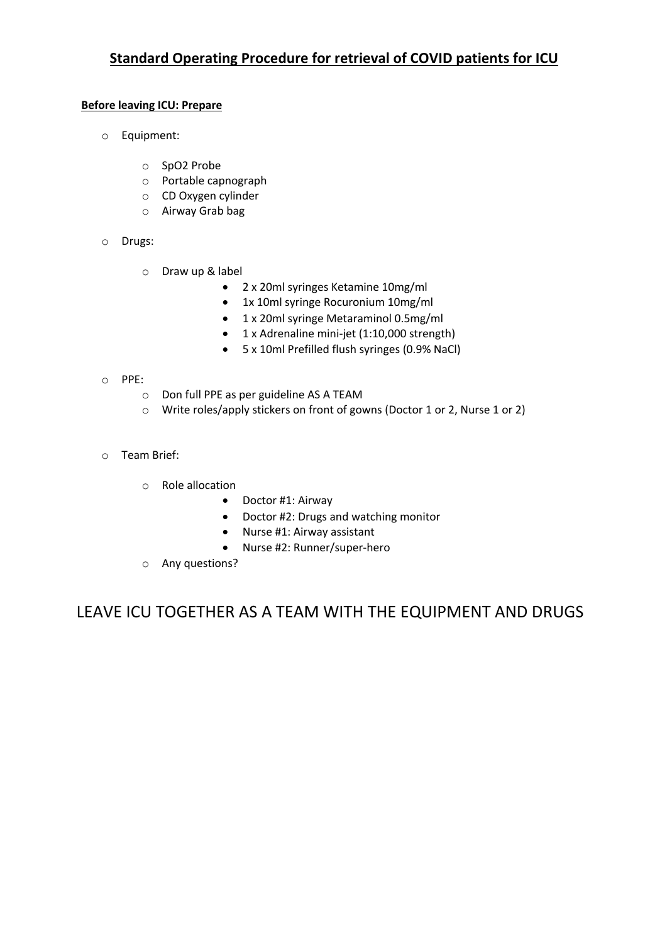# **Standard Operating Procedure for retrieval of COVID patients for ICU**

## **Before leaving ICU: Prepare**

- o Equipment:
	- o SpO2 Probe
	- o Portable capnograph
	- o CD Oxygen cylinder
	- o Airway Grab bag
- o Drugs:
	- o Draw up & label
		- 2 x 20ml syringes Ketamine 10mg/ml
		- 1x 10ml syringe Rocuronium 10mg/ml
		- 1 x 20ml syringe Metaraminol 0.5mg/ml
		- 1 x Adrenaline mini-jet (1:10,000 strength)
		- 5 x 10ml Prefilled flush syringes (0.9% NaCl)

#### o PPE:

- o Don full PPE as per guideline AS A TEAM
- o Write roles/apply stickers on front of gowns (Doctor 1 or 2, Nurse 1 or 2)
- o Team Brief:
	- o Role allocation
		- Doctor #1: Airway
		- Doctor #2: Drugs and watching monitor
		- Nurse #1: Airway assistant
		- Nurse #2: Runner/super-hero
	- o Any questions?

LEAVE ICU TOGETHER AS A TEAM WITH THE EQUIPMENT AND DRUGS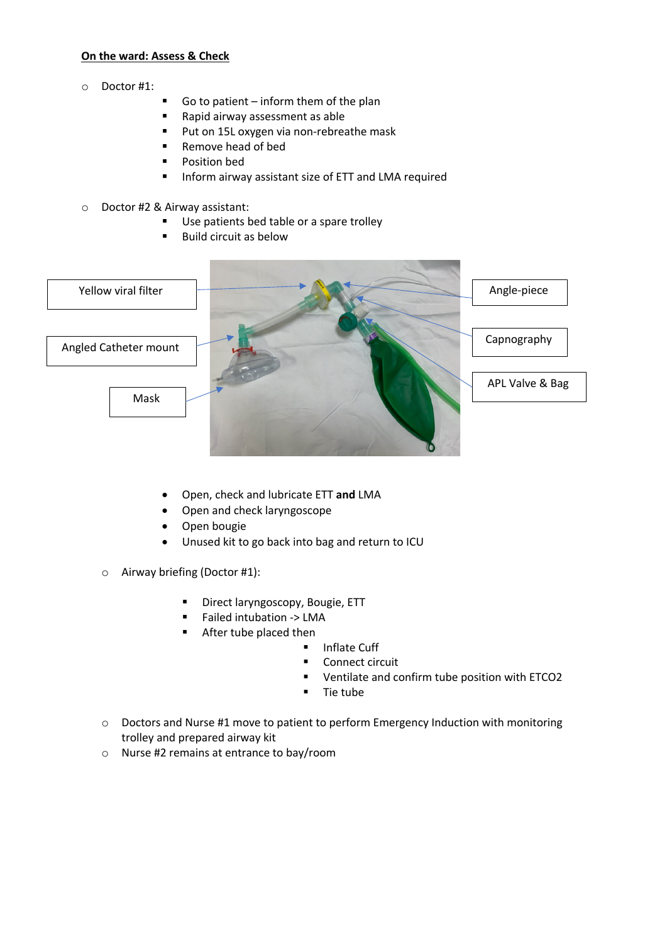#### **On the ward: Assess & Check**

- o Doctor #1:
- § Go to patient inform them of the plan
- Rapid airway assessment as able
- Put on 15L oxygen via non-rebreathe mask
- Remove head of bed
- § Position bed
- Inform airway assistant size of ETT and LMA required
- o Doctor #2 & Airway assistant:
	- Use patients bed table or a spare trolley
	- Build circuit as below



- Open, check and lubricate ETT **and** LMA
- Open and check laryngoscope
- Open bougie
- Unused kit to go back into bag and return to ICU
- o Airway briefing (Doctor #1):
	- § Direct laryngoscopy, Bougie, ETT
	- § Failed intubation -> LMA
	- **EXECUTE:** After tube placed then
		- § Inflate Cuff
		- Connect circuit
		- § Ventilate and confirm tube position with ETCO2
		- § Tie tube
- o Doctors and Nurse #1 move to patient to perform Emergency Induction with monitoring trolley and prepared airway kit
- o Nurse #2 remains at entrance to bay/room